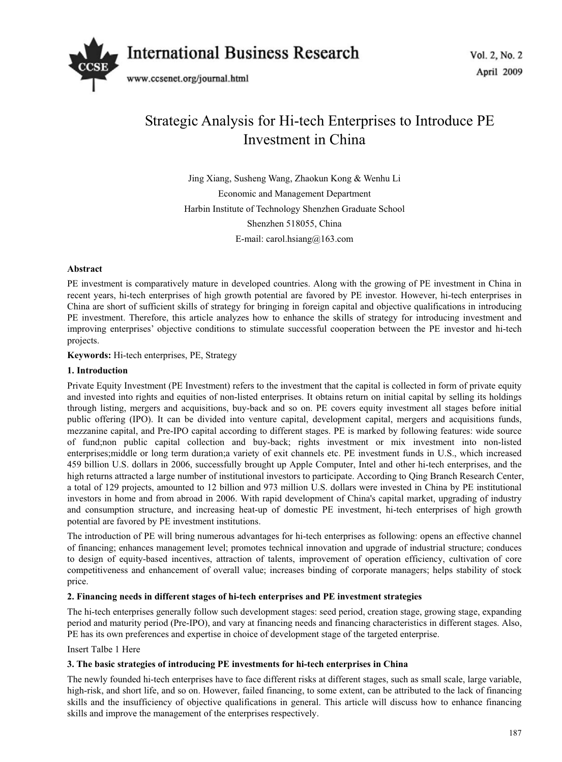

# Strategic Analysis for Hi-tech Enterprises to Introduce PE Investment in China

Jing Xiang, Susheng Wang, Zhaokun Kong & Wenhu Li Economic and Management Department Harbin Institute of Technology Shenzhen Graduate School Shenzhen 518055, China E-mail: carol.hsiang@163.com

# **Abstract**

PE investment is comparatively mature in developed countries. Along with the growing of PE investment in China in recent years, hi-tech enterprises of high growth potential are favored by PE investor. However, hi-tech enterprises in China are short of sufficient skills of strategy for bringing in foreign capital and objective qualifications in introducing PE investment. Therefore, this article analyzes how to enhance the skills of strategy for introducing investment and improving enterprises' objective conditions to stimulate successful cooperation between the PE investor and hi-tech projects.

**Keywords:** Hi-tech enterprises, PE, Strategy

## **1. Introduction**

Private Equity Investment (PE Investment) refers to the investment that the capital is collected in form of private equity and invested into rights and equities of non-listed enterprises. It obtains return on initial capital by selling its holdings through listing, mergers and acquisitions, buy-back and so on. PE covers equity investment all stages before initial public offering (IPO). It can be divided into venture capital, development capital, mergers and acquisitions funds, mezzanine capital, and Pre-IPO capital according to different stages. PE is marked by following features: wide source of fund;non public capital collection and buy-back; rights investment or mix investment into non-listed enterprises;middle or long term duration;a variety of exit channels etc. PE investment funds in U.S., which increased 459 billion U.S. dollars in 2006, successfully brought up Apple Computer, Intel and other hi-tech enterprises, and the high returns attracted a large number of institutional investors to participate. According to Qing Branch Research Center, a total of 129 projects, amounted to 12 billion and 973 million U.S. dollars were invested in China by PE institutional investors in home and from abroad in 2006. With rapid development of China's capital market, upgrading of industry and consumption structure, and increasing heat-up of domestic PE investment, hi-tech enterprises of high growth potential are favored by PE investment institutions.

The introduction of PE will bring numerous advantages for hi-tech enterprises as following: opens an effective channel of financing; enhances management level; promotes technical innovation and upgrade of industrial structure; conduces to design of equity-based incentives, attraction of talents, improvement of operation efficiency, cultivation of core competitiveness and enhancement of overall value; increases binding of corporate managers; helps stability of stock price.

## **2. Financing needs in different stages of hi-tech enterprises and PE investment strategies**

The hi-tech enterprises generally follow such development stages: seed period, creation stage, growing stage, expanding period and maturity period (Pre-IPO), and vary at financing needs and financing characteristics in different stages. Also, PE has its own preferences and expertise in choice of development stage of the targeted enterprise.

## Insert Talbe 1 Here

## **3. The basic strategies of introducing PE investments for hi-tech enterprises in China**

The newly founded hi-tech enterprises have to face different risks at different stages, such as small scale, large variable, high-risk, and short life, and so on. However, failed financing, to some extent, can be attributed to the lack of financing skills and the insufficiency of objective qualifications in general. This article will discuss how to enhance financing skills and improve the management of the enterprises respectively.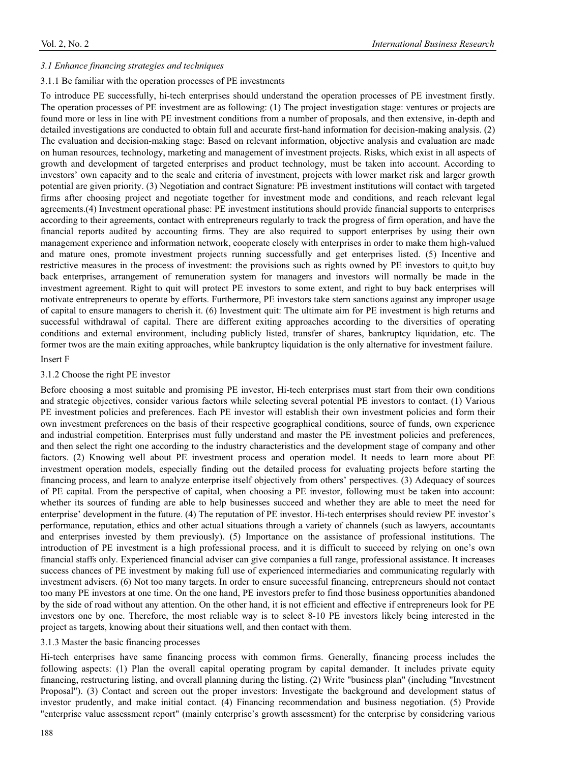#### *3.1 Enhance financing strategies and techniques*

#### 3.1.1 Be familiar with the operation processes of PE investments

To introduce PE successfully, hi-tech enterprises should understand the operation processes of PE investment firstly. The operation processes of PE investment are as following: (1) The project investigation stage: ventures or projects are found more or less in line with PE investment conditions from a number of proposals, and then extensive, in-depth and detailed investigations are conducted to obtain full and accurate first-hand information for decision-making analysis. (2) The evaluation and decision-making stage: Based on relevant information, objective analysis and evaluation are made on human resources, technology, marketing and management of investment projects. Risks, which exist in all aspects of growth and development of targeted enterprises and product technology, must be taken into account. According to investors' own capacity and to the scale and criteria of investment, projects with lower market risk and larger growth potential are given priority. (3) Negotiation and contract Signature: PE investment institutions will contact with targeted firms after choosing project and negotiate together for investment mode and conditions, and reach relevant legal agreements.(4) Investment operational phase: PE investment institutions should provide financial supports to enterprises according to their agreements, contact with entrepreneurs regularly to track the progress of firm operation, and have the financial reports audited by accounting firms. They are also required to support enterprises by using their own management experience and information network, cooperate closely with enterprises in order to make them high-valued and mature ones, promote investment projects running successfully and get enterprises listed. (5) Incentive and restrictive measures in the process of investment: the provisions such as rights owned by PE investors to quit,to buy back enterprises, arrangement of remuneration system for managers and investors will normally be made in the investment agreement. Right to quit will protect PE investors to some extent, and right to buy back enterprises will motivate entrepreneurs to operate by efforts. Furthermore, PE investors take stern sanctions against any improper usage of capital to ensure managers to cherish it. (6) Investment quit: The ultimate aim for PE investment is high returns and successful withdrawal of capital. There are different exiting approaches according to the diversities of operating conditions and external environment, including publicly listed, transfer of shares, bankruptcy liquidation, etc. The former twos are the main exiting approaches, while bankruptcy liquidation is the only alternative for investment failure.

#### Insert F

#### 3.1.2 Choose the right PE investor

Before choosing a most suitable and promising PE investor, Hi-tech enterprises must start from their own conditions and strategic objectives, consider various factors while selecting several potential PE investors to contact. (1) Various PE investment policies and preferences. Each PE investor will establish their own investment policies and form their own investment preferences on the basis of their respective geographical conditions, source of funds, own experience and industrial competition. Enterprises must fully understand and master the PE investment policies and preferences, and then select the right one according to the industry characteristics and the development stage of company and other factors. (2) Knowing well about PE investment process and operation model. It needs to learn more about PE investment operation models, especially finding out the detailed process for evaluating projects before starting the financing process, and learn to analyze enterprise itself objectively from others' perspectives. (3) Adequacy of sources of PE capital. From the perspective of capital, when choosing a PE investor, following must be taken into account: whether its sources of funding are able to help businesses succeed and whether they are able to meet the need for enterprise' development in the future. (4) The reputation of PE investor. Hi-tech enterprises should review PE investor's performance, reputation, ethics and other actual situations through a variety of channels (such as lawyers, accountants and enterprises invested by them previously). (5) Importance on the assistance of professional institutions. The introduction of PE investment is a high professional process, and it is difficult to succeed by relying on one's own financial staffs only. Experienced financial adviser can give companies a full range, professional assistance. It increases success chances of PE investment by making full use of experienced intermediaries and communicating regularly with investment advisers. (6) Not too many targets. In order to ensure successful financing, entrepreneurs should not contact too many PE investors at one time. On the one hand, PE investors prefer to find those business opportunities abandoned by the side of road without any attention. On the other hand, it is not efficient and effective if entrepreneurs look for PE investors one by one. Therefore, the most reliable way is to select 8-10 PE investors likely being interested in the project as targets, knowing about their situations well, and then contact with them.

#### 3.1.3 Master the basic financing processes

Hi-tech enterprises have same financing process with common firms. Generally, financing process includes the following aspects: (1) Plan the overall capital operating program by capital demander. It includes private equity financing, restructuring listing, and overall planning during the listing. (2) Write "business plan" (including "Investment Proposal"). (3) Contact and screen out the proper investors: Investigate the background and development status of investor prudently, and make initial contact. (4) Financing recommendation and business negotiation. (5) Provide "enterprise value assessment report" (mainly enterprise's growth assessment) for the enterprise by considering various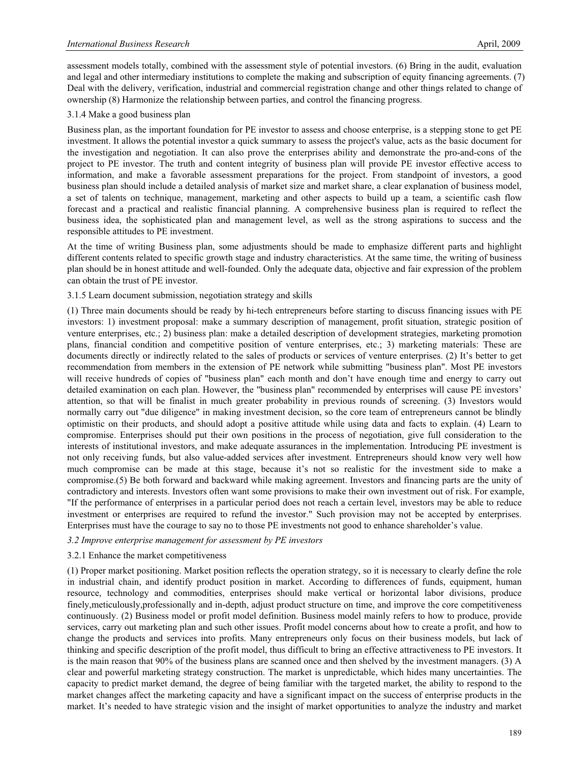assessment models totally, combined with the assessment style of potential investors. (6) Bring in the audit, evaluation and legal and other intermediary institutions to complete the making and subscription of equity financing agreements. (7) Deal with the delivery, verification, industrial and commercial registration change and other things related to change of ownership (8) Harmonize the relationship between parties, and control the financing progress.

## 3.1.4 Make a good business plan

Business plan, as the important foundation for PE investor to assess and choose enterprise, is a stepping stone to get PE investment. It allows the potential investor a quick summary to assess the project's value, acts as the basic document for the investigation and negotiation. It can also prove the enterprises ability and demonstrate the pro-and-cons of the project to PE investor. The truth and content integrity of business plan will provide PE investor effective access to information, and make a favorable assessment preparations for the project. From standpoint of investors, a good business plan should include a detailed analysis of market size and market share, a clear explanation of business model, a set of talents on technique, management, marketing and other aspects to build up a team, a scientific cash flow forecast and a practical and realistic financial planning. A comprehensive business plan is required to reflect the business idea, the sophisticated plan and management level, as well as the strong aspirations to success and the responsible attitudes to PE investment.

At the time of writing Business plan, some adjustments should be made to emphasize different parts and highlight different contents related to specific growth stage and industry characteristics. At the same time, the writing of business plan should be in honest attitude and well-founded. Only the adequate data, objective and fair expression of the problem can obtain the trust of PE investor.

## 3.1.5 Learn document submission, negotiation strategy and skills

(1) Three main documents should be ready by hi-tech entrepreneurs before starting to discuss financing issues with PE investors: 1) investment proposal: make a summary description of management, profit situation, strategic position of venture enterprises, etc.; 2) business plan: make a detailed description of development strategies, marketing promotion plans, financial condition and competitive position of venture enterprises, etc.; 3) marketing materials: These are documents directly or indirectly related to the sales of products or services of venture enterprises. (2) It's better to get recommendation from members in the extension of PE network while submitting "business plan". Most PE investors will receive hundreds of copies of "business plan" each month and don't have enough time and energy to carry out detailed examination on each plan. However, the "business plan" recommended by enterprises will cause PE investors' attention, so that will be finalist in much greater probability in previous rounds of screening. (3) Investors would normally carry out "due diligence" in making investment decision, so the core team of entrepreneurs cannot be blindly optimistic on their products, and should adopt a positive attitude while using data and facts to explain. (4) Learn to compromise. Enterprises should put their own positions in the process of negotiation, give full consideration to the interests of institutional investors, and make adequate assurances in the implementation. Introducing PE investment is not only receiving funds, but also value-added services after investment. Entrepreneurs should know very well how much compromise can be made at this stage, because it's not so realistic for the investment side to make a compromise.(5) Be both forward and backward while making agreement. Investors and financing parts are the unity of contradictory and interests. Investors often want some provisions to make their own investment out of risk. For example, "If the performance of enterprises in a particular period does not reach a certain level, investors may be able to reduce investment or enterprises are required to refund the investor." Such provision may not be accepted by enterprises. Enterprises must have the courage to say no to those PE investments not good to enhance shareholder's value.

## *3.2 Improve enterprise management for assessment by PE investors*

## 3.2.1 Enhance the market competitiveness

(1) Proper market positioning. Market position reflects the operation strategy, so it is necessary to clearly define the role in industrial chain, and identify product position in market. According to differences of funds, equipment, human resource, technology and commodities, enterprises should make vertical or horizontal labor divisions, produce finely,meticulously,professionally and in-depth, adjust product structure on time, and improve the core competitiveness continuously. (2) Business model or profit model definition. Business model mainly refers to how to produce, provide services, carry out marketing plan and such other issues. Profit model concerns about how to create a profit, and how to change the products and services into profits. Many entrepreneurs only focus on their business models, but lack of thinking and specific description of the profit model, thus difficult to bring an effective attractiveness to PE investors. It is the main reason that 90% of the business plans are scanned once and then shelved by the investment managers. (3) A clear and powerful marketing strategy construction. The market is unpredictable, which hides many uncertainties. The capacity to predict market demand, the degree of being familiar with the targeted market, the ability to respond to the market changes affect the marketing capacity and have a significant impact on the success of enterprise products in the market. It's needed to have strategic vision and the insight of market opportunities to analyze the industry and market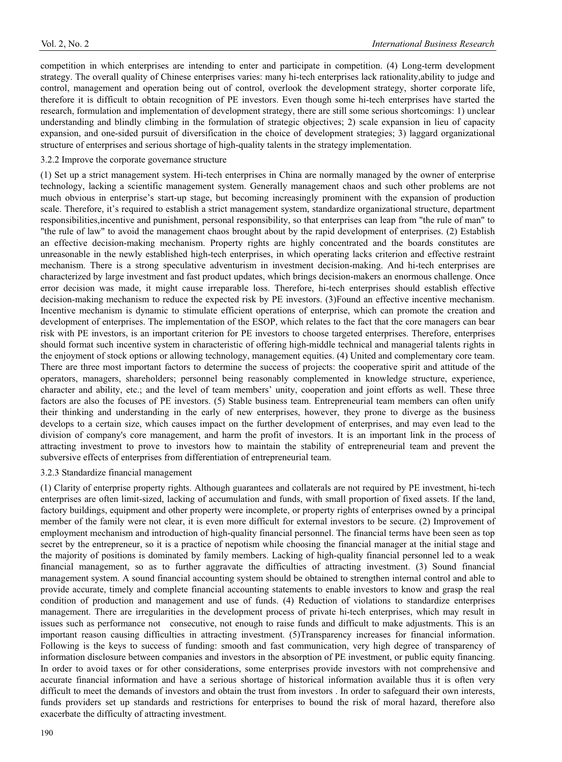competition in which enterprises are intending to enter and participate in competition. (4) Long-term development strategy. The overall quality of Chinese enterprises varies: many hi-tech enterprises lack rationality,ability to judge and control, management and operation being out of control, overlook the development strategy, shorter corporate life, therefore it is difficult to obtain recognition of PE investors. Even though some hi-tech enterprises have started the research, formulation and implementation of development strategy, there are still some serious shortcomings: 1) unclear understanding and blindly climbing in the formulation of strategic objectives; 2) scale expansion in lieu of capacity expansion, and one-sided pursuit of diversification in the choice of development strategies; 3) laggard organizational structure of enterprises and serious shortage of high-quality talents in the strategy implementation.

# 3.2.2 Improve the corporate governance structure

(1) Set up a strict management system. Hi-tech enterprises in China are normally managed by the owner of enterprise technology, lacking a scientific management system. Generally management chaos and such other problems are not much obvious in enterprise's start-up stage, but becoming increasingly prominent with the expansion of production scale. Therefore, it's required to establish a strict management system, standardize organizational structure, department responsibilities,incentive and punishment, personal responsibility, so that enterprises can leap from "the rule of man" to "the rule of law" to avoid the management chaos brought about by the rapid development of enterprises. (2) Establish an effective decision-making mechanism. Property rights are highly concentrated and the boards constitutes are unreasonable in the newly established high-tech enterprises, in which operating lacks criterion and effective restraint mechanism. There is a strong speculative adventurism in investment decision-making. And hi-tech enterprises are characterized by large investment and fast product updates, which brings decision-makers an enormous challenge. Once error decision was made, it might cause irreparable loss. Therefore, hi-tech enterprises should establish effective decision-making mechanism to reduce the expected risk by PE investors. (3)Found an effective incentive mechanism. Incentive mechanism is dynamic to stimulate efficient operations of enterprise, which can promote the creation and development of enterprises. The implementation of the ESOP, which relates to the fact that the core managers can bear risk with PE investors, is an important criterion for PE investors to choose targeted enterprises. Therefore, enterprises should format such incentive system in characteristic of offering high-middle technical and managerial talents rights in the enjoyment of stock options or allowing technology, management equities. (4) United and complementary core team. There are three most important factors to determine the success of projects: the cooperative spirit and attitude of the operators, managers, shareholders; personnel being reasonably complemented in knowledge structure, experience, character and ability, etc.; and the level of team members' unity, cooperation and joint efforts as well. These three factors are also the focuses of PE investors. (5) Stable business team. Entrepreneurial team members can often unify their thinking and understanding in the early of new enterprises, however, they prone to diverge as the business develops to a certain size, which causes impact on the further development of enterprises, and may even lead to the division of company's core management, and harm the profit of investors. It is an important link in the process of attracting investment to prove to investors how to maintain the stability of entrepreneurial team and prevent the subversive effects of enterprises from differentiation of entrepreneurial team.

## 3.2.3 Standardize financial management

(1) Clarity of enterprise property rights. Although guarantees and collaterals are not required by PE investment, hi-tech enterprises are often limit-sized, lacking of accumulation and funds, with small proportion of fixed assets. If the land, factory buildings, equipment and other property were incomplete, or property rights of enterprises owned by a principal member of the family were not clear, it is even more difficult for external investors to be secure. (2) Improvement of employment mechanism and introduction of high-quality financial personnel. The financial terms have been seen as top secret by the entrepreneur, so it is a practice of nepotism while choosing the financial manager at the initial stage and the majority of positions is dominated by family members. Lacking of high-quality financial personnel led to a weak financial management, so as to further aggravate the difficulties of attracting investment. (3) Sound financial management system. A sound financial accounting system should be obtained to strengthen internal control and able to provide accurate, timely and complete financial accounting statements to enable investors to know and grasp the real condition of production and management and use of funds. (4) Reduction of violations to standardize enterprises management. There are irregularities in the development process of private hi-tech enterprises, which may result in issues such as performance not consecutive, not enough to raise funds and difficult to make adjustments. This is an important reason causing difficulties in attracting investment. (5)Transparency increases for financial information. Following is the keys to success of funding: smooth and fast communication, very high degree of transparency of information disclosure between companies and investors in the absorption of PE investment, or public equity financing. In order to avoid taxes or for other considerations, some enterprises provide investors with not comprehensive and accurate financial information and have a serious shortage of historical information available thus it is often very difficult to meet the demands of investors and obtain the trust from investors . In order to safeguard their own interests, funds providers set up standards and restrictions for enterprises to bound the risk of moral hazard, therefore also exacerbate the difficulty of attracting investment.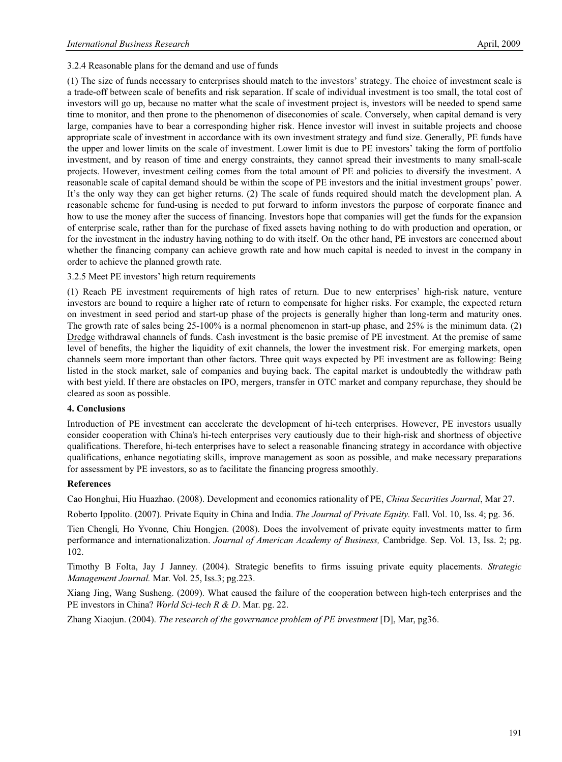3.2.4 Reasonable plans for the demand and use of funds

(1) The size of funds necessary to enterprises should match to the investors' strategy. The choice of investment scale is a trade-off between scale of benefits and risk separation. If scale of individual investment is too small, the total cost of investors will go up, because no matter what the scale of investment project is, investors will be needed to spend same time to monitor, and then prone to the phenomenon of diseconomies of scale. Conversely, when capital demand is very large, companies have to bear a corresponding higher risk. Hence investor will invest in suitable projects and choose appropriate scale of investment in accordance with its own investment strategy and fund size. Generally, PE funds have the upper and lower limits on the scale of investment. Lower limit is due to PE investors' taking the form of portfolio investment, and by reason of time and energy constraints, they cannot spread their investments to many small-scale projects. However, investment ceiling comes from the total amount of PE and policies to diversify the investment. A reasonable scale of capital demand should be within the scope of PE investors and the initial investment groups' power. It's the only way they can get higher returns. (2) The scale of funds required should match the development plan. A reasonable scheme for fund-using is needed to put forward to inform investors the purpose of corporate finance and how to use the money after the success of financing. Investors hope that companies will get the funds for the expansion of enterprise scale, rather than for the purchase of fixed assets having nothing to do with production and operation, or for the investment in the industry having nothing to do with itself. On the other hand, PE investors are concerned about whether the financing company can achieve growth rate and how much capital is needed to invest in the company in order to achieve the planned growth rate.

3.2.5 Meet PE investors' high return requirements

(1) Reach PE investment requirements of high rates of return. Due to new enterprises' high-risk nature, venture investors are bound to require a higher rate of return to compensate for higher risks. For example, the expected return on investment in seed period and start-up phase of the projects is generally higher than long-term and maturity ones. The growth rate of sales being 25-100% is a normal phenomenon in start-up phase, and 25% is the minimum data. (2) Dredge withdrawal channels of funds. Cash investment is the basic premise of PE investment. At the premise of same level of benefits, the higher the liquidity of exit channels, the lower the investment risk. For emerging markets, open channels seem more important than other factors. Three quit ways expected by PE investment are as following: Being listed in the stock market, sale of companies and buying back. The capital market is undoubtedly the withdraw path with best yield. If there are obstacles on IPO, mergers, transfer in OTC market and company repurchase, they should be cleared as soon as possible.

## **4. Conclusions**

Introduction of PE investment can accelerate the development of hi-tech enterprises. However, PE investors usually consider cooperation with China's hi-tech enterprises very cautiously due to their high-risk and shortness of objective qualifications. Therefore, hi-tech enterprises have to select a reasonable financing strategy in accordance with objective qualifications, enhance negotiating skills, improve management as soon as possible, and make necessary preparations for assessment by PE investors, so as to facilitate the financing progress smoothly.

## **References**

Cao Honghui, Hiu Huazhao. (2008). Development and economics rationality of PE, *China Securities Journal*, Mar 27.

Roberto Ippolito. **(**2007). Private Equity in China and India. *The Journal of Private Equity.* Fall. Vol. 10, Iss. 4; pg. 36.

Tien Chengli*,* Ho Yvonne*,* Chiu Hongjen. (2008). Does the involvement of private equity investments matter to firm performance and internationalization. *Journal of American Academy of Business,* Cambridge. Sep. Vol. 13, Iss. 2; pg. 102.

Timothy B Folta, Jay J Janney. (2004). Strategic benefits to firms issuing private equity placements. *Strategic Management Journal.* Mar. Vol. 25, Iss.3; pg.223.

Xiang Jing, Wang Susheng. (2009). What caused the failure of the cooperation between high-tech enterprises and the PE investors in China? *World Sci-tech R & D*. Mar. pg. 22.

Zhang Xiaojun. (2004). *The research of the governance problem of PE investment* [D], Mar, pg36.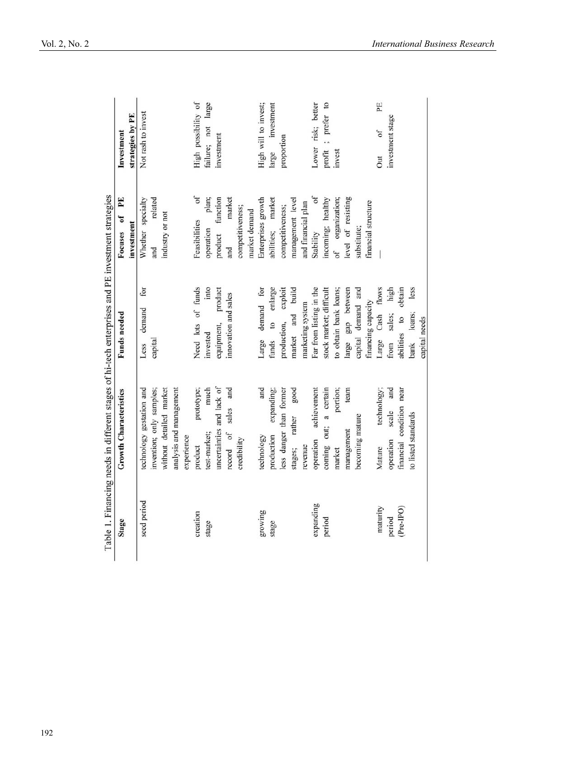|             | Table 1. Financing needs in different stages of hi-tech enterprises and PE investment strategies |                         |                           |                      |
|-------------|--------------------------------------------------------------------------------------------------|-------------------------|---------------------------|----------------------|
| Stage       | <b>Growth Characteristics</b>                                                                    | Funds needed            | PE<br>Focuses of          | Investment           |
|             |                                                                                                  |                         | investment                | strategies by PE     |
| seed period | technology gestation and                                                                         | for<br>demand<br>Less   | Whether specialty         | Not rash to invest   |
|             | invention; only samples;                                                                         | capital                 | related<br>and            |                      |
|             | without detailed market                                                                          |                         | industry or not           |                      |
|             | analysis and management                                                                          |                         |                           |                      |
|             | experience                                                                                       |                         |                           |                      |
| creation    | prototype;<br>product                                                                            | Need lots of funds      | $\delta$<br>Feasibilities | High possibility of  |
| stage       | much<br>test-market;                                                                             | into<br>invested        | plan;<br>operation        | failure; not large   |
|             | uncertainties and lack of                                                                        | equipment, product      | product function          | investment           |
|             | and<br>sales<br>record of                                                                        | innovation and sales    | market<br>and             |                      |
|             | credibility                                                                                      |                         | competitiveness;          |                      |
|             |                                                                                                  |                         | market demand             |                      |
| growing     | and<br>technology                                                                                | Large demand for        | Enterprises growth        | High will to invest; |
| stage       | production expanding;                                                                            | funds to enlarge        | abilities; market         | large investment     |
|             | less danger than former                                                                          | production, exploit     | competitiveness;          | proportion           |
|             | good<br>rather<br>stages;                                                                        | market and build        | management level          |                      |
|             | revenue                                                                                          | marketing system        | and financial plan        |                      |
| expanding   | achievement<br>operation                                                                         | Far from listing in the | of<br>Stability           | Lower risk; better   |
| period      | coming out; a certain                                                                            | stock market; difficult | incoming; healthy         | profit ; prefer to   |
|             | portion;<br>narket                                                                               | to obtain bank loans;   | of organization;          | invest               |
|             | team<br>management                                                                               | large gap between       | level of resisting        |                      |
|             | becoming mature                                                                                  | capital demand and      | substitute;               |                      |
|             |                                                                                                  | financing capacity      | financial structure       |                      |
| maturity    | technology;<br>Mature                                                                            | Cash flows<br>Large     |                           | PE<br>of<br>Jut      |
| period      | scale and<br>operation                                                                           | high<br>sales;<br>from  |                           | investment stage     |
| (Pre-IPO)   | financial condition near                                                                         | obtain<br>abilities to  |                           |                      |
|             | to listed standards                                                                              | less<br>loans;<br>bank  |                           |                      |
|             |                                                                                                  | capital needs           |                           |                      |